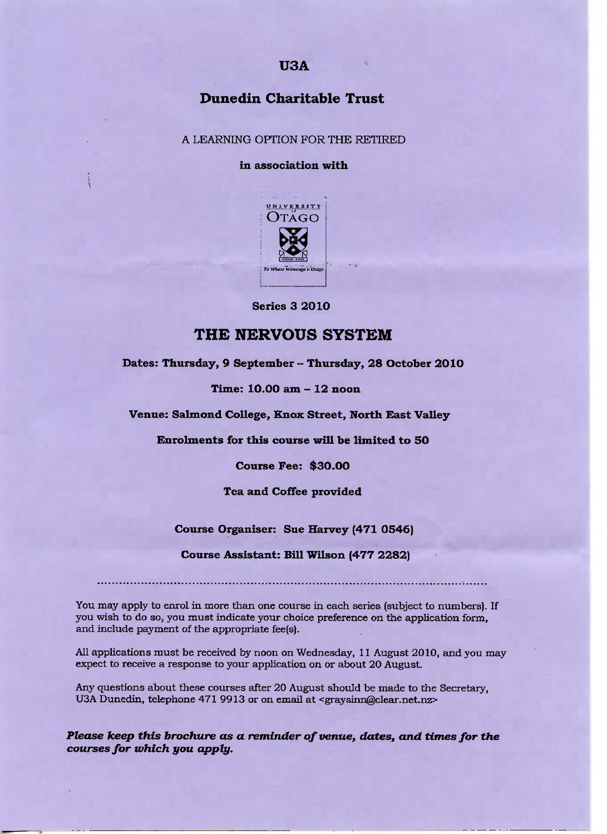# **USA**

# **Dunedin Charitable Trust**

#### A LEARNING OPTION FOR THE RETIRED

#### **in association with**



**Series 3 2010**

### **THE NERVOUS SYSTEM**

**Dates: Thursday, 9 September - Thursday, 28 October 201O**

**Time: 10.0O am - 12 noon**

**Venue: Salmond College, Knox Street, North East Valley**

**Enrolments for this course will be limited to 5O**

**Course Fee: \$30.00**

**Tea and Coffee provided**

**Course Organiser: Sue Harvey (471 0546)**

**Course Assistant: Bill Wilson (477 2282)**

You may apply to enrol in more than one course in each series (subject to numbers). If you wish to do so, you must indicate your choice preference on the application form, and include payment of the appropriate fee(s).

All applications must be received by noon on Wednesday, 11 August 2010, and you may expect to receive a response to your application on or about 20 August.

Any questions about these courses after 20 August should be made to the Secretary, USA Dunedin, telephone 471 9913 or on email at <graysinn@clear.net.nz>

*Please keep this brochure as a reminder of venue, dates, and times for the courses for which you apply.*